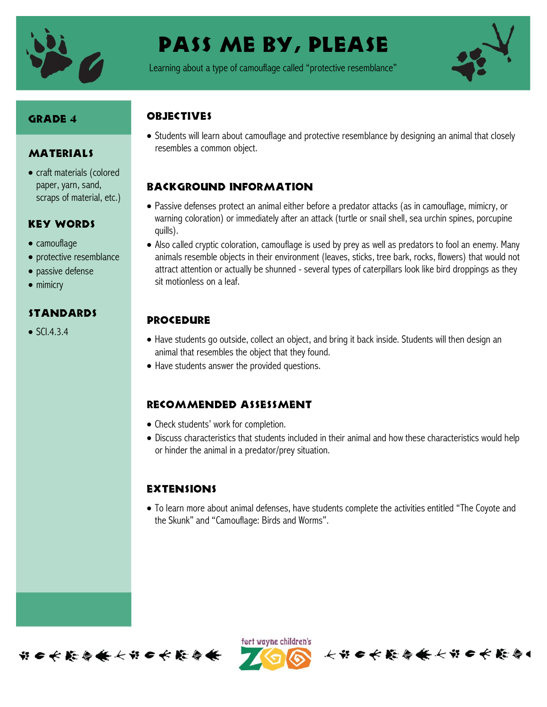

# Pass me by, please

Learning about a type of camouflage called "protective resemblance"



# Grade 4

#### **MATERIALS**

• craft materials (colored paper, yarn, sand, scraps of material, etc.)

#### Key Words

- camouflage
- protective resemblance
- passive defense
- mimicry

# **STANDARDS**

 $\bullet$  SCI.4.3.4

# **OBJECTIVES**

 Students will learn about camouflage and protective resemblance by designing an animal that closely resembles a common object.

#### Background information

- Passive defenses protect an animal either before a predator attacks (as in camouflage, mimicry, or warning coloration) or immediately after an attack (turtle or snail shell, sea urchin spines, porcupine quills).
- Also called cryptic coloration, camouflage is used by prey as well as predators to fool an enemy. Many animals resemble objects in their environment (leaves, sticks, tree bark, rocks, flowers) that would not attract attention or actually be shunned - several types of caterpillars look like bird droppings as they sit motionless on a leaf.

# **PROCEDURE**

- Have students go outside, collect an object, and bring it back inside. Students will then design an animal that resembles the object that they found.
- Have students answer the provided questions.

#### Recommended assessment

- Check students' work for completion.
- Discuss characteristics that students included in their animal and how these characteristics would help or hinder the animal in a predator/prey situation.

# **EXTENSIONS**

 To learn more about animal defenses, have students complete the activities entitled "The Coyote and the Skunk" and "Camouflage: Birds and Worms".



ført wayne children's

长节日长藤春餐长节日长藤春